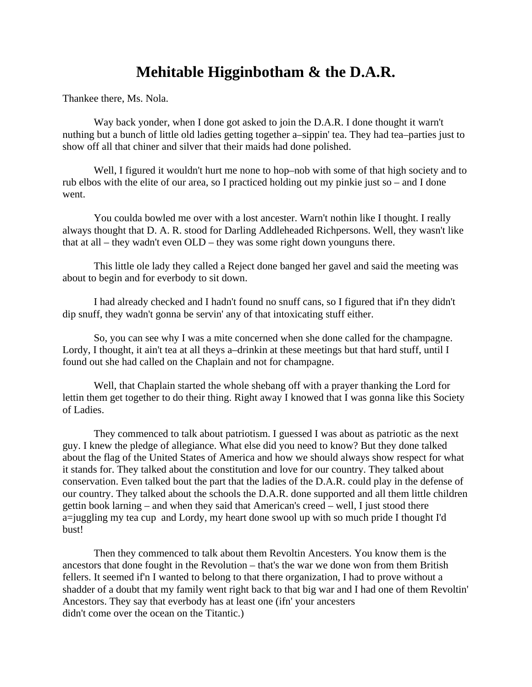## **Mehitable Higginbotham & the D.A.R.**

Thankee there, Ms. Nola.

Way back yonder, when I done got asked to join the D.A.R. I done thought it warn't nuthing but a bunch of little old ladies getting together a–sippin' tea. They had tea–parties just to show off all that chiner and silver that their maids had done polished.

Well, I figured it wouldn't hurt me none to hop–nob with some of that high society and to rub elbos with the elite of our area, so I practiced holding out my pinkie just so – and I done went.

You coulda bowled me over with a lost ancester. Warn't nothin like I thought. I really always thought that D. A. R. stood for Darling Addleheaded Richpersons. Well, they wasn't like that at all – they wadn't even OLD – they was some right down younguns there.

This little ole lady they called a Reject done banged her gavel and said the meeting was about to begin and for everbody to sit down.

I had already checked and I hadn't found no snuff cans, so I figured that if'n they didn't dip snuff, they wadn't gonna be servin' any of that intoxicating stuff either.

So, you can see why I was a mite concerned when she done called for the champagne. Lordy, I thought, it ain't tea at all theys a–drinkin at these meetings but that hard stuff, until I found out she had called on the Chaplain and not for champagne.

Well, that Chaplain started the whole shebang off with a prayer thanking the Lord for lettin them get together to do their thing. Right away I knowed that I was gonna like this Society of Ladies.

They commenced to talk about patriotism. I guessed I was about as patriotic as the next guy. I knew the pledge of allegiance. What else did you need to know? But they done talked about the flag of the United States of America and how we should always show respect for what it stands for. They talked about the constitution and love for our country. They talked about conservation. Even talked bout the part that the ladies of the D.A.R. could play in the defense of our country. They talked about the schools the D.A.R. done supported and all them little children gettin book larning – and when they said that American's creed – well, I just stood there a=juggling my tea cup and Lordy, my heart done swool up with so much pride I thought I'd bust!

Then they commenced to talk about them Revoltin Ancesters. You know them is the ancestors that done fought in the Revolution – that's the war we done won from them British fellers. It seemed if'n I wanted to belong to that there organization, I had to prove without a shadder of a doubt that my family went right back to that big war and I had one of them Revoltin' Ancestors. They say that everbody has at least one (ifn' your ancesters didn't come over the ocean on the Titantic.)